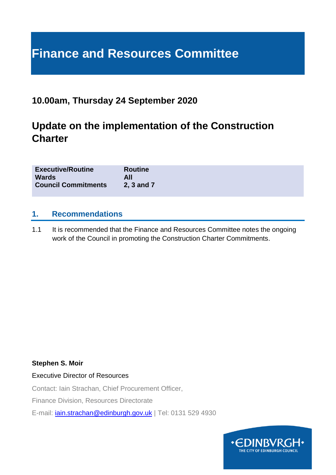# **Finance and Resources Committee**

# **10.00am, Thursday 24 September 2020**

# **Update on the implementation of the Construction Charter**

| <b>Executive/Routine</b>   | <b>Routine</b> |
|----------------------------|----------------|
| <b>Wards</b>               | All            |
| <b>Council Commitments</b> | 2, 3 and 7     |

#### **1. Recommendations**

1.1 It is recommended that the Finance and Resources Committee notes the ongoing work of the Council in promoting the Construction Charter Commitments.

#### **Stephen S. Moir**

Executive Director of Resources

Contact: Iain Strachan, Chief Procurement Officer,

Finance Division, Resources Directorate

E-mail: [iain.strachan@edinburgh.gov.uk](mailto:iain.strachan@edinburgh.gov.uk) | Tel: 0131 529 4930

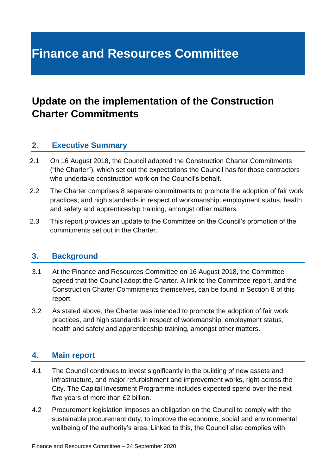# **Finance and Resources Committee**

# **Update on the implementation of the Construction Charter Commitments**

#### **2. Executive Summary**

- 2.1 On 16 August 2018, the Council adopted the Construction Charter Commitments ("the Charter"), which set out the expectations the Council has for those contractors who undertake construction work on the Council's behalf.
- 2.2 The Charter comprises 8 separate commitments to promote the adoption of fair work practices, and high standards in respect of workmanship, employment status, health and safety and apprenticeship training, amongst other matters.
- 2.3 This report provides an update to the Committee on the Council's promotion of the commitments set out in the Charter.

#### **3. Background**

- 3.1 At the Finance and Resources Committee on 16 August 2018, the Committee agreed that the Council adopt the Charter. A link to the Committee report, and the Construction Charter Commitments themselves, can be found in Section 8 of this report.
- 3.2 As stated above, the Charter was intended to promote the adoption of fair work practices, and high standards in respect of workmanship, employment status, health and safety and apprenticeship training, amongst other matters.

### **4. Main report**

- 4.1 The Council continues to invest significantly in the building of new assets and infrastructure, and major refurbishment and improvement works, right across the City. The Capital Investment Programme includes expected spend over the next five years of more than £2 billion.
- 4.2 Procurement legislation imposes an obligation on the Council to comply with the sustainable procurement duty, to improve the economic, social and environmental wellbeing of the authority's area. Linked to this, the Council also complies with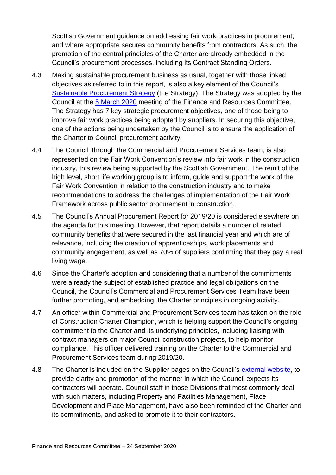Scottish Government guidance on addressing fair work practices in procurement, and where appropriate secures community benefits from contractors. As such, the promotion of the central principles of the Charter are already embedded in the Council's procurement processes, including its Contract Standing Orders.

- 4.3 Making sustainable procurement business as usual, together with those linked objectives as referred to in this report, is also a key element of the Council's [Sustainable Procurement Strategy](https://www.edinburgh.gov.uk/downloads/file/27180/procurement-strategy---2020-to-2025) (the Strategy). The Strategy was adopted by the Council at the [5 March 2020](https://democracy.edinburgh.gov.uk/documents/s14802/7.7%20-%20Sustainable%20Procurement%20Strategy.pdf) meeting of the Finance and Resources Committee. The Strategy has 7 key strategic procurement objectives, one of those being to improve fair work practices being adopted by suppliers. In securing this objective, one of the actions being undertaken by the Council is to ensure the application of the Charter to Council procurement activity.
- 4.4 The Council, through the Commercial and Procurement Services team, is also represented on the Fair Work Convention's review into fair work in the construction industry, this review being supported by the Scottish Government. The remit of the high level, short life working group is to inform, guide and support the work of the Fair Work Convention in relation to the construction industry and to make recommendations to address the challenges of implementation of the Fair Work Framework across public sector procurement in construction.
- 4.5 The Council's Annual Procurement Report for 2019/20 is considered elsewhere on the agenda for this meeting. However, that report details a number of related community benefits that were secured in the last financial year and which are of relevance, including the creation of apprenticeships, work placements and community engagement, as well as 70% of suppliers confirming that they pay a real living wage.
- 4.6 Since the Charter's adoption and considering that a number of the commitments were already the subject of established practice and legal obligations on the Council, the Council's Commercial and Procurement Services Team have been further promoting, and embedding, the Charter principles in ongoing activity.
- 4.7 An officer within Commercial and Procurement Services team has taken on the role of Construction Charter Champion, which is helping support the Council's ongoing commitment to the Charter and its underlying principles, including liaising with contract managers on major Council construction projects, to help monitor compliance. This officer delivered training on the Charter to the Commercial and Procurement Services team during 2019/20.
- 4.8 The Charter is included on the Supplier pages on the Council's [external website,](http://www.edinburgh.gov.uk/downloads/download/2814/construction_charter_commitments) to provide clarity and promotion of the manner in which the Council expects its contractors will operate. Council staff in those Divisions that most commonly deal with such matters, including Property and Facilities Management, Place Development and Place Management, have also been reminded of the Charter and its commitments, and asked to promote it to their contractors.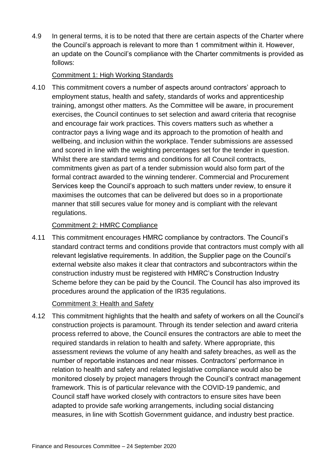4.9 In general terms, it is to be noted that there are certain aspects of the Charter where the Council's approach is relevant to more than 1 commitment within it. However, an update on the Council's compliance with the Charter commitments is provided as follows:

#### Commitment 1: High Working Standards

4.10 This commitment covers a number of aspects around contractors' approach to employment status, health and safety, standards of works and apprenticeship training, amongst other matters. As the Committee will be aware, in procurement exercises, the Council continues to set selection and award criteria that recognise and encourage fair work practices. This covers matters such as whether a contractor pays a living wage and its approach to the promotion of health and wellbeing, and inclusion within the workplace. Tender submissions are assessed and scored in line with the weighting percentages set for the tender in question. Whilst there are standard terms and conditions for all Council contracts, commitments given as part of a tender submission would also form part of the formal contract awarded to the winning tenderer. Commercial and Procurement Services keep the Council's approach to such matters under review, to ensure it maximises the outcomes that can be delivered but does so in a proportionate manner that still secures value for money and is compliant with the relevant regulations.

#### Commitment 2: HMRC Compliance

4.11 This commitment encourages HMRC compliance by contractors. The Council's standard contract terms and conditions provide that contractors must comply with all relevant legislative requirements. In addition, the Supplier page on the Council's external website also makes it clear that contractors and subcontractors within the construction industry must be registered with HMRC's Construction Industry Scheme before they can be paid by the Council. The Council has also improved its procedures around the application of the IR35 regulations.

#### Commitment 3: Health and Safety

4.12 This commitment highlights that the health and safety of workers on all the Council's construction projects is paramount. Through its tender selection and award criteria process referred to above, the Council ensures the contractors are able to meet the required standards in relation to health and safety. Where appropriate, this assessment reviews the volume of any health and safety breaches, as well as the number of reportable instances and near misses. Contractors' performance in relation to health and safety and related legislative compliance would also be monitored closely by project managers through the Council's contract management framework. This is of particular relevance with the COVID-19 pandemic, and Council staff have worked closely with contractors to ensure sites have been adapted to provide safe working arrangements, including social distancing measures, in line with Scottish Government guidance, and industry best practice.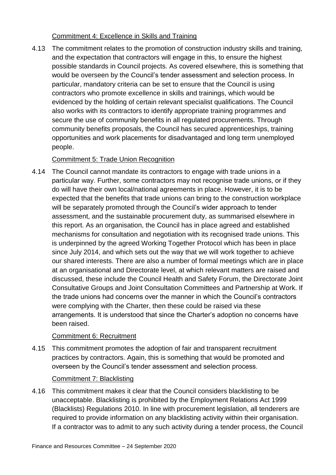#### Commitment 4: Excellence in Skills and Training

4.13 The commitment relates to the promotion of construction industry skills and training, and the expectation that contractors will engage in this, to ensure the highest possible standards in Council projects. As covered elsewhere, this is something that would be overseen by the Council's tender assessment and selection process. In particular, mandatory criteria can be set to ensure that the Council is using contractors who promote excellence in skills and trainings, which would be evidenced by the holding of certain relevant specialist qualifications. The Council also works with its contractors to identify appropriate training programmes and secure the use of community benefits in all regulated procurements. Through community benefits proposals, the Council has secured apprenticeships, training opportunities and work placements for disadvantaged and long term unemployed people.

#### Commitment 5: Trade Union Recognition

4.14 The Council cannot mandate its contractors to engage with trade unions in a particular way. Further, some contractors may not recognise trade unions, or if they do will have their own local/national agreements in place. However, it is to be expected that the benefits that trade unions can bring to the construction workplace will be separately promoted through the Council's wider approach to tender assessment, and the sustainable procurement duty, as summarised elsewhere in this report. As an organisation, the Council has in place agreed and established mechanisms for consultation and negotiation with its recognised trade unions. This is underpinned by the agreed Working Together Protocol which has been in place since July 2014, and which sets out the way that we will work together to achieve our shared interests. There are also a number of formal meetings which are in place at an organisational and Directorate level, at which relevant matters are raised and discussed, these include the Council Health and Safety Forum, the Directorate Joint Consultative Groups and Joint Consultation Committees and Partnership at Work. If the trade unions had concerns over the manner in which the Council's contractors were complying with the Charter, then these could be raised via these arrangements. It is understood that since the Charter's adoption no concerns have been raised.

#### Commitment 6: Recruitment

4.15 This commitment promotes the adoption of fair and transparent recruitment practices by contractors. Again, this is something that would be promoted and overseen by the Council's tender assessment and selection process.

#### Commitment 7: Blacklisting

4.16 This commitment makes it clear that the Council considers blacklisting to be unacceptable. Blacklisting is prohibited by the Employment Relations Act 1999 (Blacklists) Regulations 2010. In line with procurement legislation, all tenderers are required to provide information on any blacklisting activity within their organisation. If a contractor was to admit to any such activity during a tender process, the Council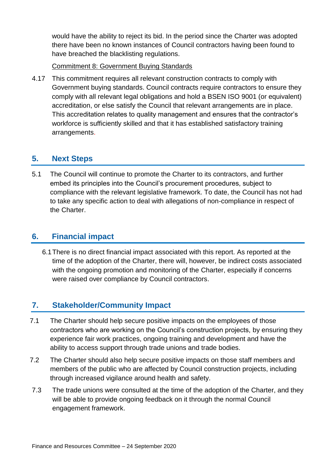would have the ability to reject its bid. In the period since the Charter was adopted there have been no known instances of Council contractors having been found to have breached the blacklisting regulations.

#### Commitment 8: Government Buying Standards

4.17 This commitment requires all relevant construction contracts to comply with Government buying standards. Council contracts require contractors to ensure they comply with all relevant legal obligations and hold a BSEN ISO 9001 (or equivalent) accreditation, or else satisfy the Council that relevant arrangements are in place. This accreditation relates to quality management and ensures that the contractor's workforce is sufficiently skilled and that it has established satisfactory training arrangements.

### **5. Next Steps**

5.1 The Council will continue to promote the Charter to its contractors, and further embed its principles into the Council's procurement procedures, subject to compliance with the relevant legislative framework. To date, the Council has not had to take any specific action to deal with allegations of non-compliance in respect of the Charter.

## **6. Financial impact**

6.1There is no direct financial impact associated with this report. As reported at the time of the adoption of the Charter, there will, however, be indirect costs associated with the ongoing promotion and monitoring of the Charter, especially if concerns were raised over compliance by Council contractors.

# **7. Stakeholder/Community Impact**

- 7.1 The Charter should help secure positive impacts on the employees of those contractors who are working on the Council's construction projects, by ensuring they experience fair work practices, ongoing training and development and have the ability to access support through trade unions and trade bodies.
- 7.2 The Charter should also help secure positive impacts on those staff members and members of the public who are affected by Council construction projects, including through increased vigilance around health and safety.
- 7.3 The trade unions were consulted at the time of the adoption of the Charter, and they will be able to provide ongoing feedback on it through the normal Council engagement framework.